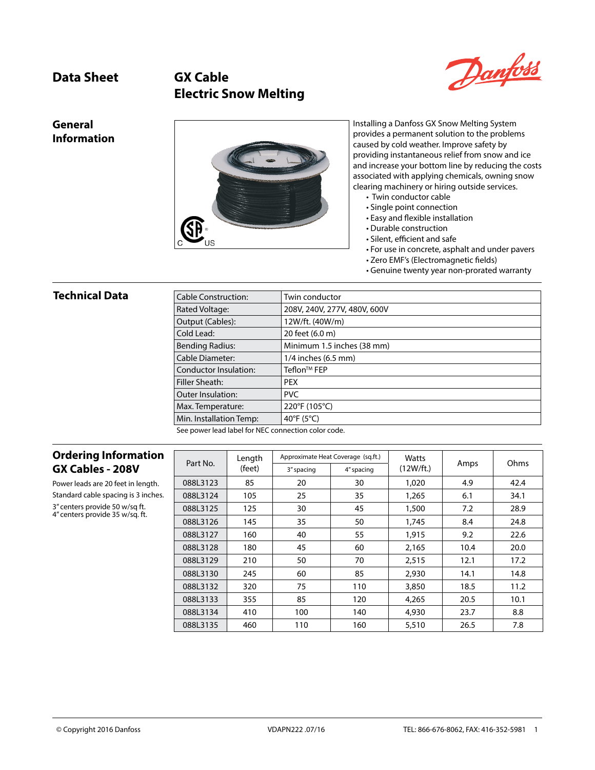# **Data Sheet GX Cable Electric Snow Melting**



#### **General Information**



Installing a Danfoss GX Snow Melting System provides a permanent solution to the problems caused by cold weather. Improve safety by providing instantaneous relief from snow and ice and increase your bottom line by reducing the costs associated with applying chemicals, owning snow clearing machinery or hiring outside services.

- Twin conductor cable
- Single point connection
- Easy and flexible installation
- Durable construction
- Silent, efficient and safe
- For use in concrete, asphalt and under pavers
- Zero EMF's (Electromagnetic fields)
- Genuine twenty year non-prorated warranty

#### **Technical Data**

| <b>Cable Construction:</b>                         | Twin conductor               |
|----------------------------------------------------|------------------------------|
| Rated Voltage:                                     | 208V, 240V, 277V, 480V, 600V |
| Output (Cables):                                   | 12W/ft. (40W/m)              |
| Cold Lead:                                         | 20 feet (6.0 m)              |
| <b>Bending Radius:</b>                             | Minimum 1.5 inches (38 mm)   |
| <b>Cable Diameter:</b>                             | 1/4 inches (6.5 mm)          |
| Conductor Insulation:                              | Teflon™ FEP                  |
| Filler Sheath:                                     | <b>PEX</b>                   |
| <b>Outer Insulation:</b>                           | <b>PVC</b>                   |
| Max. Temperature:                                  | 220°F (105°C)                |
| Min. Installation Temp:                            | 40°F (5°C)                   |
| See nower lead label for NEC connection color sode |                              |

See power lead label for NEC connection color code.

#### **Ordering Information GX Cables - 208V**

Power leads are 20 feet in length. Standard cable spacing is 3 inches. 3" centers provide 50 w/sq ft. 4" centers provide 35 w/sq. ft.

| Part No. | Length | Approximate Heat Coverage (sg.ft.) |            | Watts     |      | Ohms |
|----------|--------|------------------------------------|------------|-----------|------|------|
|          | (feet) | 3" spacing                         | 4" spacing | (12W/ft.) | Amps |      |
| 088L3123 | 85     | 20                                 | 30         | 1,020     | 4.9  | 42.4 |
| 088L3124 | 105    | 25                                 | 35         | 1,265     | 6.1  | 34.1 |
| 088L3125 | 125    | 30                                 | 45         | 1,500     | 7.2  | 28.9 |
| 088L3126 | 145    | 35                                 | 50         | 1,745     | 8.4  | 24.8 |
| 088L3127 | 160    | 40                                 | 55         | 1.915     | 9.2  | 22.6 |
| 088L3128 | 180    | 45                                 | 60         | 2,165     | 10.4 | 20.0 |
| 088L3129 | 210    | 50                                 | 70         | 2,515     | 12.1 | 17.2 |
| 088L3130 | 245    | 60                                 | 85         | 2,930     | 14.1 | 14.8 |
| 088L3132 | 320    | 75                                 | 110        | 3,850     | 18.5 | 11.2 |
| 088L3133 | 355    | 85                                 | 120        | 4,265     | 20.5 | 10.1 |
| 088L3134 | 410    | 100                                | 140        | 4,930     | 23.7 | 8.8  |
| 088L3135 | 460    | 110                                | 160        | 5,510     | 26.5 | 7.8  |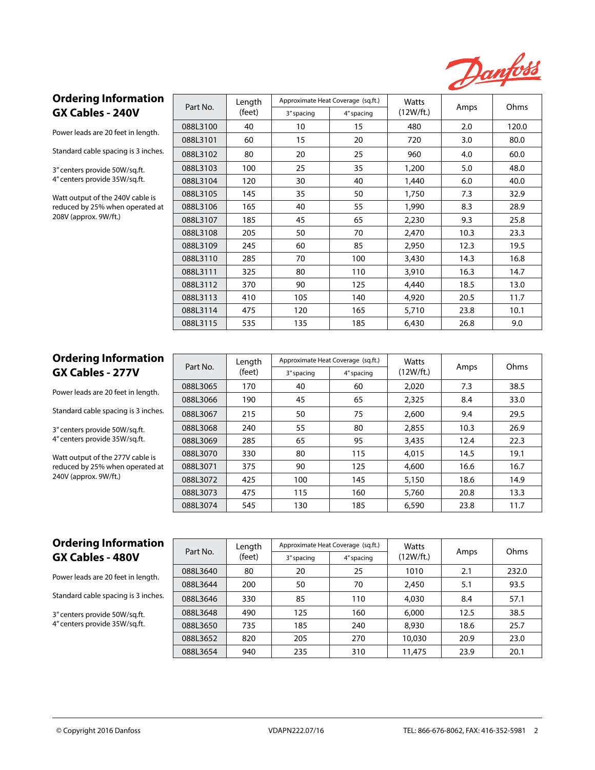

#### **Ordering Information GX Cables - 240V**

Power leads are 20 feet in length.

Standard cable spacing is 3 inches.

3" centers provide 50W/sq.ft. 4" centers provide 35W/sq.ft.

Watt output of the 240V cable is reduced by 25% when operated at 208V (approx. 9W/ft.)

| Part No. | Length | Approximate Heat Coverage (sq.ft.) |            | Watts     |      | Ohms  |  |
|----------|--------|------------------------------------|------------|-----------|------|-------|--|
|          | (feet) | 3" spacing                         | 4" spacing | (12W/ft.) | Amps |       |  |
| 088L3100 | 40     | 10                                 | 15         | 480       | 2.0  | 120.0 |  |
| 088L3101 | 60     | 15                                 | 20         | 720       | 3.0  | 80.0  |  |
| 088L3102 | 80     | 20                                 | 25         | 960       | 4.0  | 60.0  |  |
| 088L3103 | 100    | 25                                 | 35         | 1,200     | 5.0  | 48.0  |  |
| 088L3104 | 120    | 30                                 | 40         | 1,440     | 6.0  | 40.0  |  |
| 088L3105 | 145    | 35                                 | 50         | 1,750     | 7.3  | 32.9  |  |
| 088L3106 | 165    | 40                                 | 55         | 1,990     | 8.3  | 28.9  |  |
| 088L3107 | 185    | 45                                 | 65         | 2,230     | 9.3  | 25.8  |  |
| 088L3108 | 205    | 50                                 | 70         | 2,470     | 10.3 | 23.3  |  |
| 088L3109 | 245    | 60                                 | 85         | 2,950     | 12.3 | 19.5  |  |
| 088L3110 | 285    | 70                                 | 100        | 3,430     | 14.3 | 16.8  |  |
| 088L3111 | 325    | 80                                 | 110        | 3,910     | 16.3 | 14.7  |  |
| 088L3112 | 370    | 90                                 | 125        | 4,440     | 18.5 | 13.0  |  |
| 088L3113 | 410    | 105                                | 140        | 4,920     | 20.5 | 11.7  |  |
| 088L3114 | 475    | 120                                | 165        | 5,710     | 23.8 | 10.1  |  |
| 088L3115 | 535    | 135                                | 185        | 6,430     | 26.8 | 9.0   |  |

### **Ordering Information GX Cables - 277V**

Power leads are 20 feet in length.

Standard cable spacing is 3 inches.

3" centers provide 50W/sq.ft. 4" centers provide 35W/sq.ft.

Watt output of the 277V cable is reduced by 25% when operated at 240V (approx. 9W/ft.)

| Part No. | Approximate Heat Coverage (sg.ft.)<br>Length |            | Watts      |           | Ohms |      |  |
|----------|----------------------------------------------|------------|------------|-----------|------|------|--|
|          | (feet)                                       | 3" spacing | 4" spacing | (12W/ft.) | Amps |      |  |
| 088L3065 | 170                                          | 40         | 60         | 2.020     | 7.3  | 38.5 |  |
| 088L3066 | 190                                          | 45         | 65         | 2.325     | 8.4  | 33.0 |  |
| 088L3067 | 215                                          | 50         | 75         | 2,600     | 9.4  | 29.5 |  |
| 088L3068 | 240                                          | 55         | 80         | 2.855     | 10.3 | 26.9 |  |
| 088L3069 | 285                                          | 65         | 95         | 3,435     | 12.4 | 22.3 |  |
| 088L3070 | 330                                          | 80         | 115        | 4.015     | 14.5 | 19.1 |  |
| 088L3071 | 375                                          | 90         | 125        | 4,600     | 16.6 | 16.7 |  |
| 088L3072 | 425                                          | 100        | 145        | 5.150     | 18.6 | 14.9 |  |
| 088L3073 | 475                                          | 115        | 160        | 5,760     | 20.8 | 13.3 |  |
| 088L3074 | 545                                          | 130        | 185        | 6.590     | 23.8 | 11.7 |  |

# **Ordering Information GX Cables - 480V**

Power leads are 20 feet in length.

Standard cable spacing is 3 inches.

3" centers provide 50W/sq.ft. 4" centers provide 35W/sq.ft.

| Part No. | Length | Approximate Heat Coverage (sq.ft.) |            | Watts     |      | Ohms  |
|----------|--------|------------------------------------|------------|-----------|------|-------|
|          | (feet) | 3" spacing                         | 4" spacing | (12W/ft.) | Amps |       |
| 088L3640 | 80     | 20                                 | 25         | 1010      | 2.1  | 232.0 |
| 088L3644 | 200    | 50                                 | 70         | 2,450     | 5.1  | 93.5  |
| 088L3646 | 330    | 85                                 | 110        | 4,030     | 8.4  | 57.1  |
| 088L3648 | 490    | 125                                | 160        | 6,000     | 12.5 | 38.5  |
| 088L3650 | 735    | 185                                | 240        | 8.930     | 18.6 | 25.7  |
| 088L3652 | 820    | 205                                | 270        | 10,030    | 20.9 | 23.0  |
| 088L3654 | 940    | 235                                | 310        | 11.475    | 23.9 | 20.1  |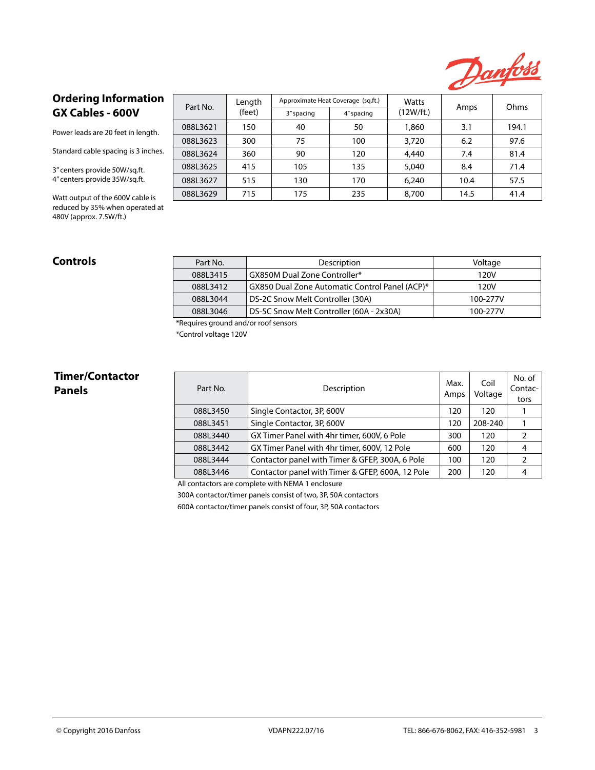

## **Ordering Information GX Cables - 600V**

Power leads are 20 feet in length.

Standard cable spacing is 3 inches.

3" centers provide 50W/sq.ft. 4" centers provide 35W/sq.ft.

Watt output of the 600V cable is reduced by 35% when operated at 480V (approx. 7.5W/ft.)

| Part No. | Approximate Heat Coverage (sq.ft.)<br>Length |            |            | Watts     |      | Ohms  |
|----------|----------------------------------------------|------------|------------|-----------|------|-------|
|          | (feet)                                       | 3" spacing | 4" spacing | (12W/ft.) | Amps |       |
| 088L3621 | 150                                          | 40         | 50         | 1,860     | 3.1  | 194.1 |
| 088L3623 | 300                                          | 75         | 100        | 3,720     | 6.2  | 97.6  |
| 088L3624 | 360                                          | 90         | 120        | 4,440     | 7.4  | 81.4  |
| 088L3625 | 415                                          | 105        | 135        | 5.040     | 8.4  | 71.4  |
| 088L3627 | 515                                          | 130        | 170        | 6.240     | 10.4 | 57.5  |
| 088L3629 | 715                                          | 175        | 235        | 8,700     | 14.5 | 41.4  |

| Controls | Part No. | Description                                    | Voltage  |
|----------|----------|------------------------------------------------|----------|
|          | 088L3415 | GX850M Dual Zone Controller*                   | 120V     |
|          | 088L3412 | GX850 Dual Zone Automatic Control Panel (ACP)* | 120V     |
|          | 088L3044 | DS-2C Snow Melt Controller (30A)               | 100-277V |
|          | 088L3046 | DS-5C Snow Melt Controller (60A - 2x30A)       | 100-277V |

\*Requires ground and/or roof sensors

\*Control voltage 120V

# **Timer/Contactor**

| Timer/Contactor<br><b>Panels</b> | Part No. | Description                                      | Max.<br>Amps | Coil<br>Voltage | No. of<br>Contac-<br>tors |
|----------------------------------|----------|--------------------------------------------------|--------------|-----------------|---------------------------|
|                                  | 088L3450 | Single Contactor, 3P, 600V                       | 120          | 120             |                           |
|                                  | 088L3451 | Single Contactor, 3P, 600V                       | 120          | 208-240         |                           |
|                                  | 088L3440 | GX Timer Panel with 4hr timer, 600V, 6 Pole      | 300          | 120             |                           |
|                                  | 088L3442 | GX Timer Panel with 4hr timer, 600V, 12 Pole     | 600          | 120             |                           |
|                                  | 088L3444 | Contactor panel with Timer & GFEP, 300A, 6 Pole  | 100          | 120             |                           |
|                                  | 088L3446 | Contactor panel with Timer & GFEP, 600A, 12 Pole | 200          | 120             |                           |

All contactors are complete with NEMA 1 enclosure

300A contactor/timer panels consist of two, 3P, 50A contactors

600A contactor/timer panels consist of four, 3P, 50A contactors